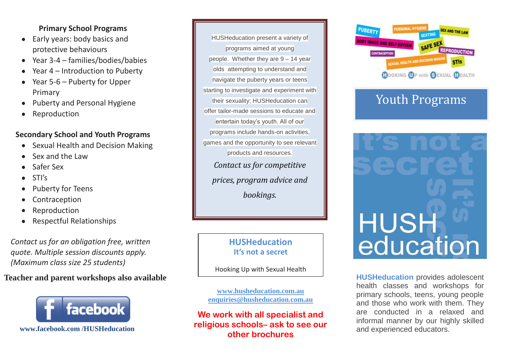#### **Primary School Programs**

- Early years: body basics and protective behaviours
- Year 3-4 families/bodies/babies
- Year 4 Introduction to Puberty  $\bullet$
- Year 5-6 Puberty for Upper Primary
- Puberty and Personal Hygiene
- Reproduction

### **Secondary School and Youth Programs**

- Sexual Health and Decision Making
- Sex and the Law
- Safer Sex
- STI's
- Puberty for Teens
- Contraception
- Reproduction
- Respectful Relationships

*Contact us for an obligation free, written quote. Multiple session discounts apply. (Maximum class size 25 students)*

# **Teacher and parent workshops also available**



 **www.facebook.com /HUSHeducation**

HUSHeducation present a variety of programs aimed at young people. Whether they are 9 – 14 year olds attempting to understand and navigate the puberty years or teens starting to investigate and experiment with their sexuality; HUSHeducation can offer tailor-made sessions to educate and entertain today's youth. All of our programs include hands-on activities, games and the opportunity to see relevant products and resources. *Contact us for competitive prices, program advice and bookings.*

## **HUSHeducation It's not a secret**

Hooking Up with Sexual Health

**[www.husheducation.com.au](http://www.husheducation.com.au/) [enquiries@husheducation.com.au](mailto:enquiries@husheducation.com.au)**

**We work with all specialist and religious schools– ask to see our other brochures**



# Youth Programs



**HUSHeducation** provides adolescent health classes and workshops for primary schools, teens, young people and those who work with them. They are conducted in a relaxed and informal manner by our highly skilled and experienced educators.